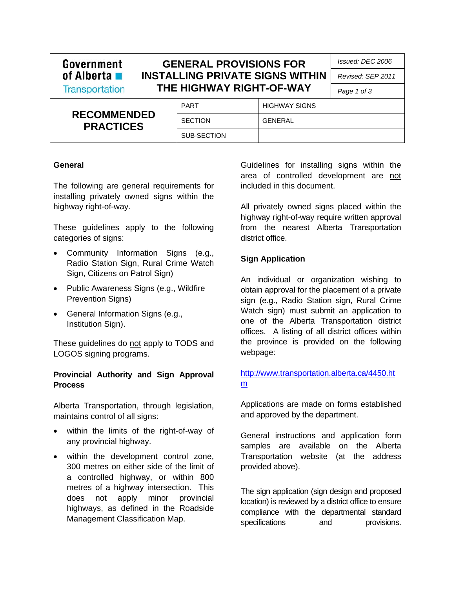| Government                             |                                                                    | <b>GENERAL PROVISIONS FOR</b> |                      | Issued: DEC 2006 |
|----------------------------------------|--------------------------------------------------------------------|-------------------------------|----------------------|------------------|
| of Alberta $\blacksquare$              | <b>INSTALLING PRIVATE SIGNS WITHIN</b><br>THE HIGHWAY RIGHT-OF-WAY |                               | Revised: SEP 2011    |                  |
| <b>Transportation</b>                  |                                                                    |                               | Page 1 of 3          |                  |
| <b>RECOMMENDED</b><br><b>PRACTICES</b> |                                                                    | <b>PART</b>                   | <b>HIGHWAY SIGNS</b> |                  |
|                                        |                                                                    | <b>SECTION</b>                | <b>GENERAL</b>       |                  |
|                                        |                                                                    | SUB-SECTION                   |                      |                  |

#### **General**

The following are general requirements for installing privately owned signs within the highway right-of-way.

These guidelines apply to the following categories of signs:

- Community Information Signs (e.g., Radio Station Sign, Rural Crime Watch Sign, Citizens on Patrol Sign)
- Public Awareness Signs (e.g., Wildfire Prevention Signs)
- General Information Signs (e.g., Institution Sign).

These guidelines do not apply to TODS and LOGOS signing programs.

#### **Provincial Authority and Sign Approval Process**

Alberta Transportation, through legislation, maintains control of all signs:

- within the limits of the right-of-way of any provincial highway.
- within the development control zone, 300 metres on either side of the limit of a controlled highway, or within 800 metres of a highway intersection. This does not apply minor provincial highways, as defined in the Roadside Management Classification Map.

Guidelines for installing signs within the area of controlled development are not included in this document.

All privately owned signs placed within the highway right-of-way require written approval from the nearest Alberta Transportation district office.

#### **Sign Application**

An individual or organization wishing to obtain approval for the placement of a private sign (e.g., Radio Station sign, Rural Crime Watch sign) must submit an application to one of the Alberta Transportation district offices. A listing of all district offices within the province is provided on the following webpage:

### [http://www.transportation.alberta.ca/4450.ht](http://www.transportation.alberta.ca/4450.htm) m

Applications are made on forms established and approved by the department.

General instructions and application form samples are available on the Alberta Transportation website (at the address provided above).

The sign application (sign design and proposed location) is reviewed by a district office to ensure compliance with the departmental standard specifications and provisions.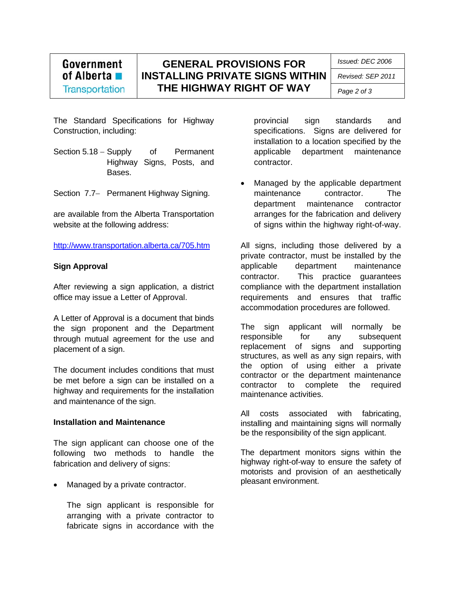# Government of Alberta  $\blacksquare$ **Transportation**

**GENERAL PROVISIONS FOR INSTALLING PRIVATE SIGNS WITHIN THE HIGHWAY RIGHT OF WAY**

*Issued: DEC 2006* 

*Revised: SEP 2011* 

*Page 2 of 3* 

The Standard Specifications for Highway Construction, including:

- Section 5.18 Supply of Permanent Highway Signs, Posts, and Bases.
- Section 7.7- Permanent Highway Signing.

are available from the Alberta Transportation website at the following address:

http://www.transportation.alberta.ca/705.htm

#### **Sign Approval**

After reviewing a sign application, a district office may issue a Letter of Approval.

A Letter of Approval is a document that binds the sign proponent and the Department through mutual agreement for the use and placement of a sign.

The document includes conditions that must be met before a sign can be installed on a highway and requirements for the installation and maintenance of the sign.

#### **Installation and Maintenance**

The sign applicant can choose one of the following two methods to handle the fabrication and delivery of signs:

Managed by a private contractor.

The sign applicant is responsible for arranging with a private contractor to fabricate signs in accordance with the

provincial sign standards and specifications. Signs are delivered for installation to a location specified by the applicable department maintenance contractor.

 Managed by the applicable department maintenance contractor. The department maintenance contractor arranges for the fabrication and delivery of signs within the highway right-of-way.

All signs, including those delivered by a private contractor, must be installed by the applicable department maintenance contractor. This practice guarantees compliance with the department installation requirements and ensures that traffic accommodation procedures are followed.

The sign applicant will normally be responsible for any subsequent replacement of signs and supporting structures, as well as any sign repairs, with the option of using either a private contractor or the department maintenance contractor to complete the required maintenance activities.

All costs associated with fabricating, installing and maintaining signs will normally be the responsibility of the sign applicant.

The department monitors signs within the highway right-of-way to ensure the safety of motorists and provision of an aesthetically pleasant environment.